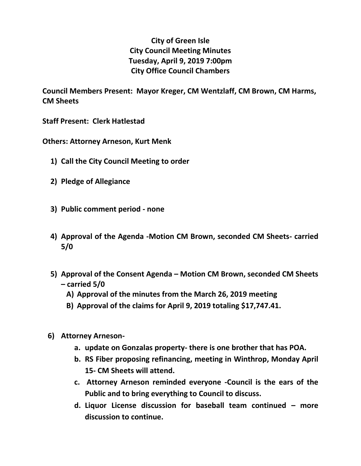## **City of Green Isle City Council Meeting Minutes Tuesday, April 9, 2019 7:00pm City Office Council Chambers**

**Council Members Present: Mayor Kreger, CM Wentzlaff, CM Brown, CM Harms, CM Sheets**

**Staff Present: Clerk Hatlestad**

**Others: Attorney Arneson, Kurt Menk**

- **1) Call the City Council Meeting to order**
- **2) Pledge of Allegiance**
- **3) Public comment period - none**
- **4) Approval of the Agenda -Motion CM Brown, seconded CM Sheets- carried 5/0**
- **5) Approval of the Consent Agenda – Motion CM Brown, seconded CM Sheets – carried 5/0**
	- **A) Approval of the minutes from the March 26, 2019 meeting**
	- **B) Approval of the claims for April 9, 2019 totaling \$17,747.41.**
- **6) Attorney Arneson**
	- **a. update on Gonzalas property- there is one brother that has POA.**
	- **b. RS Fiber proposing refinancing, meeting in Winthrop, Monday April 15- CM Sheets will attend.**
	- **c. Attorney Arneson reminded everyone -Council is the ears of the Public and to bring everything to Council to discuss.**
	- **d. Liquor License discussion for baseball team continued – more discussion to continue.**